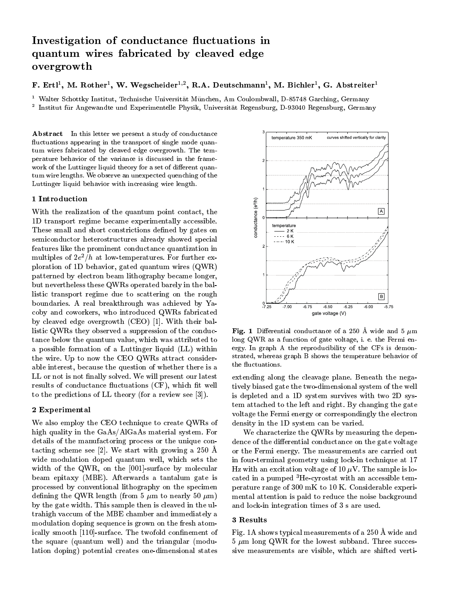# Investigation of conductance uctuations in quantum wires fabricated by contracted by contracted edge edge and contracted entropy of the contracted edge o overgrowth

r . Ertl . Ivi. Rother . w. wegscheider <sup>. .</sup> . R.A. Deutschmann . . W. Dichler . G. Abstreiter

t Walter Schottky Institut, Technische Universitat Munchen, Am Coulombwall, D-85748 Garching, Germany <sup>2</sup> Institut fur Angewandte und Experimentelle Physik, Universitat Regensburg, D-93040 Regensburg, Germany

Abstract In this letter we present a study of conductance fluctuations appearing in the transport of single mode quantum wires fabricated by cleaved edge overgrowth. The temperature behavior of the variance is discussed in the framework of the Luttinger liquid theory for a set of different quantum wire lengths. We observe an unexpected quenching of the Luttinger liquid behavior with increasing wire length.

#### 1 Introduction

**The INTE CONCITED SET OF THE SET OF THE SET OF THE ID transport regime became experimentally accessible.**<br>These small and short constrictions defined by gates on 1D transport regime became experimentally accessible. These small and short constrictions defined by gates on  $\frac{1}{8}$ semiconductor heterostructures already showed special features like the prominent conductance quantization in multiples of  $ze$  / $n$  at low-temperatures. For further exploration of 1D behavior, gated quantum wires (QWR) patterned by electron beam lithography became longer, but nevertheless these QWRs operated barely in the ballistic transport regime due to scattering on the rough boundaries. A real breakthrough was achieved by Yacoby and coworkers, who introduced QWRs fabricated by cleaved edge overgrowth (CEO) [1].With their ballistic QWRs they observed a suppression of the conductance below the quantum value, which was attributed to a possible formation of a Luttinger liquid (LL) within the wire. Up to now the CEO QWRs attract considerable interest, because the question of whether there is a LL or not is not finally solved. We will present our latest results of conductance fluctuations (CF), which fit well to the predictions of LL theory (for a review see [3]).

## 2 Experimental

We also employ the CEO technique to create QWRs of high quality in the GaAs/AlGaAs material system. For details of the manufactoring process or the unique contacting scheme see [2]. We start with growing a 250 A wide modulation doped quantum well, which sets the width of the QWR, on the [001]-surface by molecular beam epitaxy (MBE). Afterwards a tantalum gate is processed by conventional lithography on the specimen defining the QWR length (from 5  $\mu$ m to nearly 50  $\mu$ m) by the gate width. This sample then is cleaved in theultrahigh vaccum of the MBE chamber and immediately a modulation doping sequence is grown on the fresh atomically smooth [110]-surface. The twofold confinement of the square (quantum well) and the triangular (modulation doping) potential creates one-dimensional states



Fig. 1 Differential conductance of a 250 Å wide and 5  $\mu$ m long QWR as a function of gate voltage, i. e. the Fermi en ergy. In graph A the reproducibility of the CFs is demonstrated, whereas graph B shows the temperature behavior of the fluctuations.

extending along the cleavage plane. Beneath the negatively biased gate the two-dimensional system of the well is depleted and a1D system survives with two 2D system attached to the left and right. By changing the gate voltage the Fermi energy or correspondingly the electron density in the1D system can be varied.

We characterize the QWRs by measuring the dependence of the differential conductance on the gate voltage or the Fermi energy. The measurements are carried out in four-terminal geometry using lock-in technique at 17 Hz with an excitation voltage of 10  $\mu$ V. The sample is located in a pumped 3He-cyrostat with an accessible temperature range of 300 mK to 10 K. Considerable experimental attention is paid to reduce the noise background and lock-in integration times of 3 s are used.

### 3 Results

Fig. 1A shows typical measurements of a 250 A wide and  $5 \mu m$  long QWR for the lowest subband. Three successive measurements are visible, which are shifted verti-